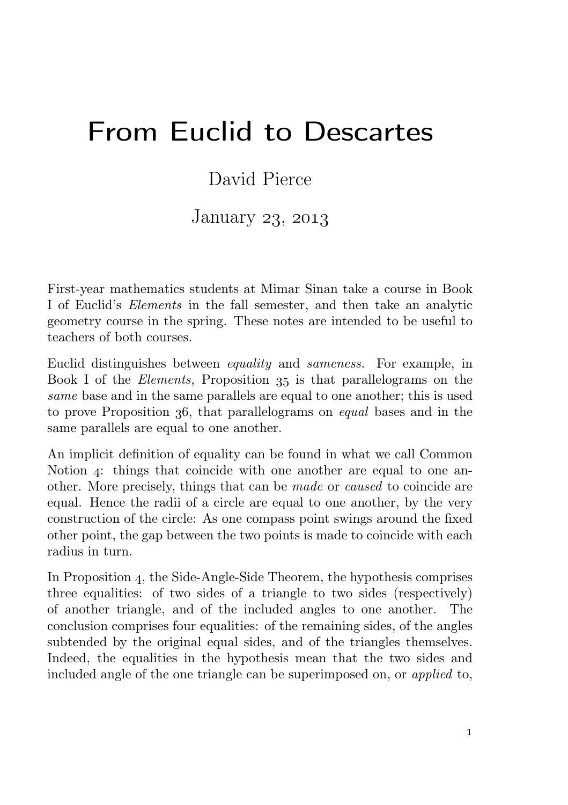## From Euclid to Descartes

## David Pierce

## January 23, 2013

First-year mathematics students at Mimar Sinan take a course in Book I of Euclid's *Elements* in the fall semester, and then take an analytic geometry course in the spring. These notes are intended to be useful to teachers of both courses.

Euclid distinguishes between *equality* and *sameness.* For example, in Book I of the *Elements*, Proposition 35 is that parallelograms on the *same* base and in the same parallels are equal to one another; this is used to prove Proposition 36, that parallelograms on *equal* bases and in the same parallels are equal to one another.

An implicit definition of equality can be found in what we call Common Notion  $\alpha$ : things that coincide with one another are equal to one another. More precisely, things that can be *made* or *caused* to coincide are equal. Hence the radii of a circle are equal to one another, by the very construction of the circle: As one compass point swings around the fixed other point, the gap between the two points is made to coincide with each radius in turn.

In Proposition 4, the Side-Angle-Side Theorem, the hypothesis comprises three equalities: of two sides of a triangle to two sides (respectively) of another triangle, and of the included angles to one another. The conclusion comprises four equalities: of the remaining sides, of the angles subtended by the original equal sides, and of the triangles themselves. Indeed, the equalities in the hypothesis mean that the two sides and included angle of the one triangle can be superimposed on, or *applied* to,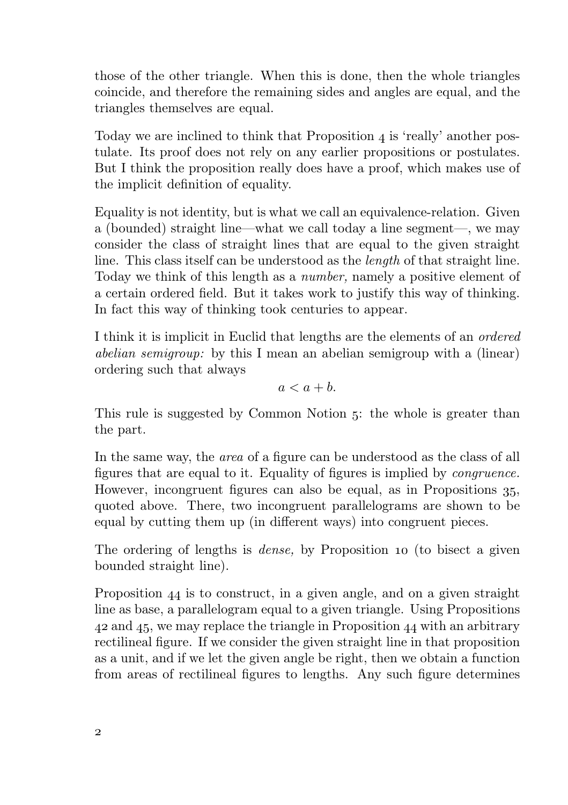those of the other triangle. When this is done, then the whole triangles coincide, and therefore the remaining sides and angles are equal, and the triangles themselves are equal.

Today we are inclined to think that Proposition  $\alpha$  is 'really' another postulate. Its proof does not rely on any earlier propositions or postulates. But I think the proposition really does have a proof, which makes use of the implicit definition of equality.

Equality is not identity, but is what we call an equivalence-relation. Given a (bounded) straight line—what we call today a line segment—, we may consider the class of straight lines that are equal to the given straight line. This class itself can be understood as the *length* of that straight line. Today we think of this length as a *number,* namely a positive element of a certain ordered field. But it takes work to justify this way of thinking. In fact this way of thinking took centuries to appear.

I think it is implicit in Euclid that lengths are the elements of an *ordered abelian semigroup:* by this I mean an abelian semigroup with a (linear) ordering such that always

$$
a < a + b.
$$

This rule is suggested by Common Notion 5: the whole is greater than the part.

In the same way, the *area* of a figure can be understood as the class of all figures that are equal to it. Equality of figures is implied by *congruence.* However, incongruent figures can also be equal, as in Propositions 35, quoted above. There, two incongruent parallelograms are shown to be equal by cutting them up (in different ways) into congruent pieces.

The ordering of lengths is *dense*, by Proposition 10 (to bisect a given bounded straight line).

Proposition  $44$  is to construct, in a given angle, and on a given straight line as base, a parallelogram equal to a given triangle. Using Propositions  $42$  and  $45$ , we may replace the triangle in Proposition  $44$  with an arbitrary rectilineal figure. If we consider the given straight line in that proposition as a unit, and if we let the given angle be right, then we obtain a function from areas of rectilineal figures to lengths. Any such figure determines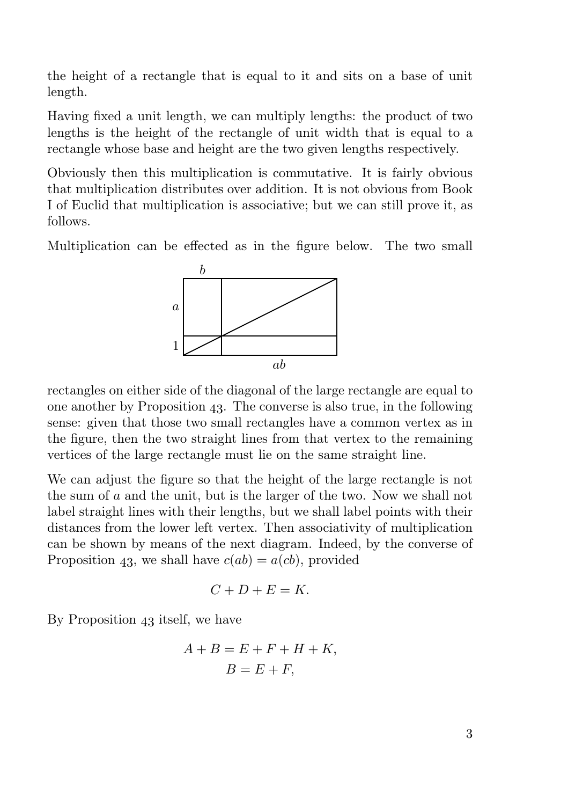the height of a rectangle that is equal to it and sits on a base of unit length.

Having fixed a unit length, we can multiply lengths: the product of two lengths is the height of the rectangle of unit width that is equal to a rectangle whose base and height are the two given lengths respectively.

Obviously then this multiplication is commutative. It is fairly obvious that multiplication distributes over addition. It is not obvious from Book I of Euclid that multiplication is associative; but we can still prove it, as follows.

Multiplication can be effected as in the figure below. The two small



rectangles on either side of the diagonal of the large rectangle are equal to one another by Proposition 43. The converse is also true, in the following sense: given that those two small rectangles have a common vertex as in the figure, then the two straight lines from that vertex to the remaining vertices of the large rectangle must lie on the same straight line.

We can adjust the figure so that the height of the large rectangle is not the sum of a and the unit, but is the larger of the two. Now we shall not label straight lines with their lengths, but we shall label points with their distances from the lower left vertex. Then associativity of multiplication can be shown by means of the next diagram. Indeed, by the converse of Proposition 43, we shall have  $c(ab) = a(cb)$ , provided

$$
C+D+E=K.
$$

By Proposition  $43$  itself, we have

$$
A + B = E + F + H + K,
$$
  

$$
B = E + F,
$$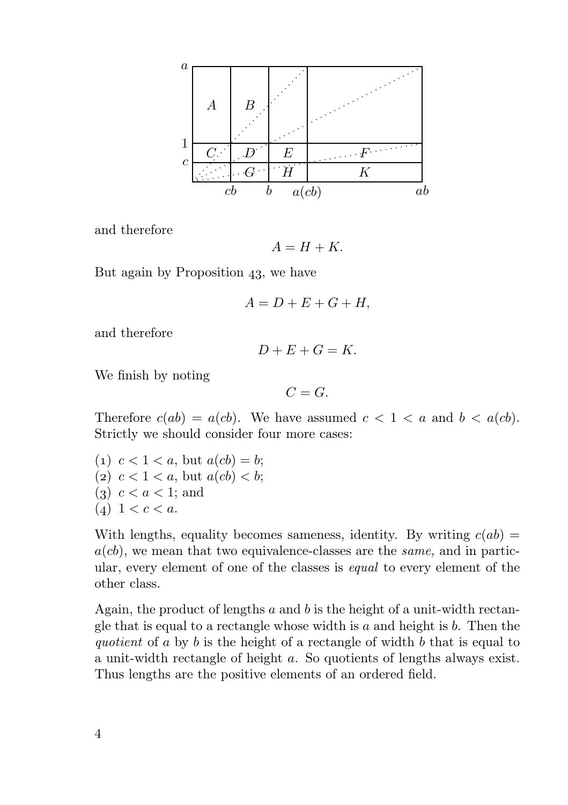

and therefore

 $A = H + K$ .

But again by Proposition  $43$ , we have

$$
A = D + E + G + H,
$$

and therefore

$$
D+E+G=K.
$$

We finish by noting

$$
C=G.
$$

Therefore  $c(ab) = a(cb)$ . We have assumed  $c < 1 < a$  and  $b < a(cb)$ . Strictly we should consider four more cases:

(1)  $c < 1 < a$ , but  $a(cb) = b$ ; (2)  $c < 1 < a$ , but  $a(cb) < b$ ;  $(3)$   $c < a < 1$ ; and  $(4)$  1 < c < a.

With lengths, equality becomes sameness, identity. By writing  $c(ab) =$  $a(cb)$ , we mean that two equivalence-classes are the *same*, and in particular, every element of one of the classes is *equal* to every element of the other class.

Again, the product of lengths  $a$  and  $b$  is the height of a unit-width rectangle that is equal to a rectangle whose width is  $a$  and height is  $b$ . Then the *quotient* of a by b is the height of a rectangle of width b that is equal to a unit-width rectangle of height a. So quotients of lengths always exist. Thus lengths are the positive elements of an ordered field.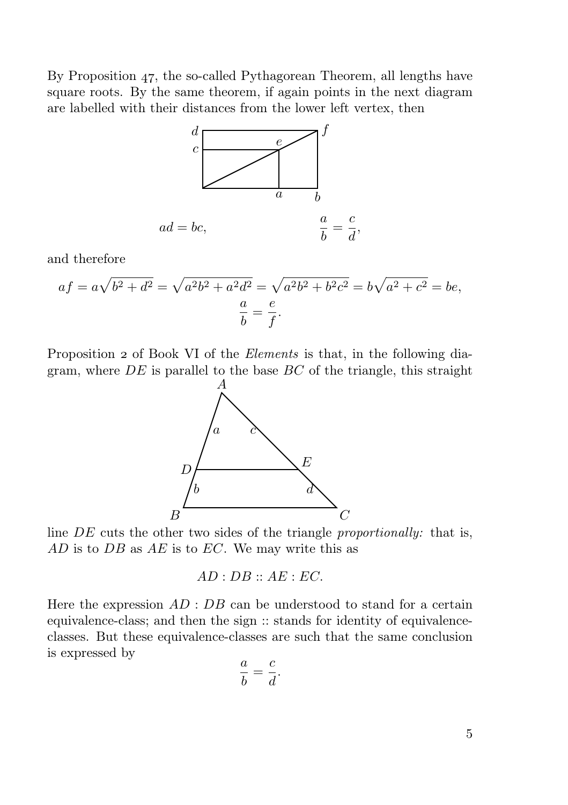By Proposition 47, the so-called Pythagorean Theorem, all lengths have square roots. By the same theorem, if again points in the next diagram are labelled with their distances from the lower left vertex, then



and therefore

$$
af = a\sqrt{b^2 + d^2} = \sqrt{a^2b^2 + a^2d^2} = \sqrt{a^2b^2 + b^2c^2} = b\sqrt{a^2 + c^2} = be,
$$
  

$$
\frac{a}{b} = \frac{e}{f}.
$$

Proposition 2 of Book VI of the *Elements* is that, in the following diagram, where  $DE$  is parallel to the base  $BC$  of the triangle, this straight



line DE cuts the other two sides of the triangle *proportionally:* that is,  $AD$  is to  $DB$  as  $AE$  is to  $EC$ . We may write this as

$$
AD: DB :: AE: EC.
$$

Here the expression  $AD : DB$  can be understood to stand for a certain equivalence-class; and then the sign :: stands for identity of equivalenceclasses. But these equivalence-classes are such that the same conclusion is expressed by

$$
\frac{a}{b} = \frac{c}{d}.
$$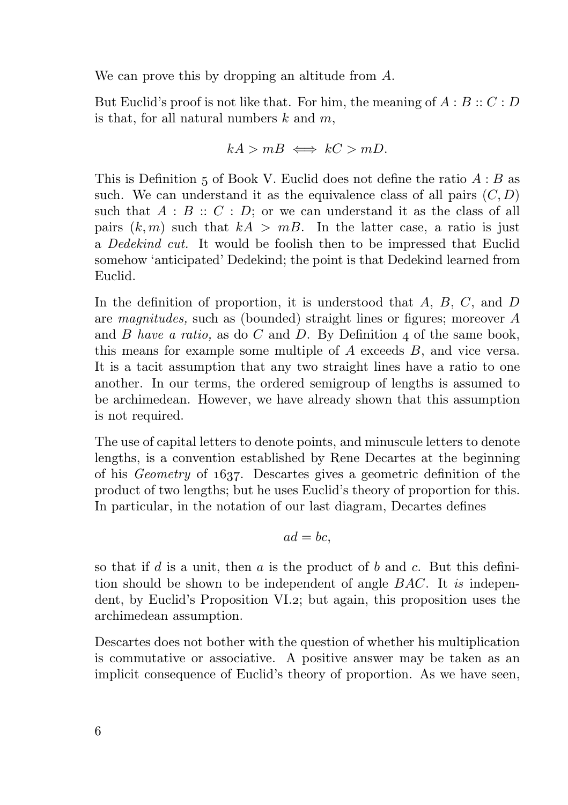We can prove this by dropping an altitude from A.

But Euclid's proof is not like that. For him, the meaning of  $A : B :: C : D$ is that, for all natural numbers  $k$  and  $m$ ,

$$
kA > mB \iff kC > mD.
$$

This is Definition 5 of Book V. Euclid does not define the ratio  $A : B$  as such. We can understand it as the equivalence class of all pairs  $(C, D)$ such that  $A : B :: C : D$ ; or we can understand it as the class of all pairs  $(k, m)$  such that  $kA > mB$ . In the latter case, a ratio is just a *Dedekind cut.* It would be foolish then to be impressed that Euclid somehow 'anticipated' Dedekind; the point is that Dedekind learned from Euclid.

In the definition of proportion, it is understood that  $A, B, C$ , and  $D$ are *magnitudes,* such as (bounded) straight lines or figures; moreover A and  $B$  *have a ratio,* as do  $C$  and  $D$ . By Definition  $\mu$  of the same book, this means for example some multiple of A exceeds B, and vice versa. It is a tacit assumption that any two straight lines have a ratio to one another. In our terms, the ordered semigroup of lengths is assumed to be archimedean. However, we have already shown that this assumption is not required.

The use of capital letters to denote points, and minuscule letters to denote lengths, is a convention established by Rene Decartes at the beginning of his *Geometry* of 1637. Descartes gives a geometric definition of the product of two lengths; but he uses Euclid's theory of proportion for this. In particular, in the notation of our last diagram, Decartes defines

$$
ad=bc,
$$

so that if  $d$  is a unit, then  $a$  is the product of  $b$  and  $c$ . But this definition should be shown to be independent of angle BAC. It *is* independent, by Euclid's Proposition VI.2; but again, this proposition uses the archimedean assumption.

Descartes does not bother with the question of whether his multiplication is commutative or associative. A positive answer may be taken as an implicit consequence of Euclid's theory of proportion. As we have seen,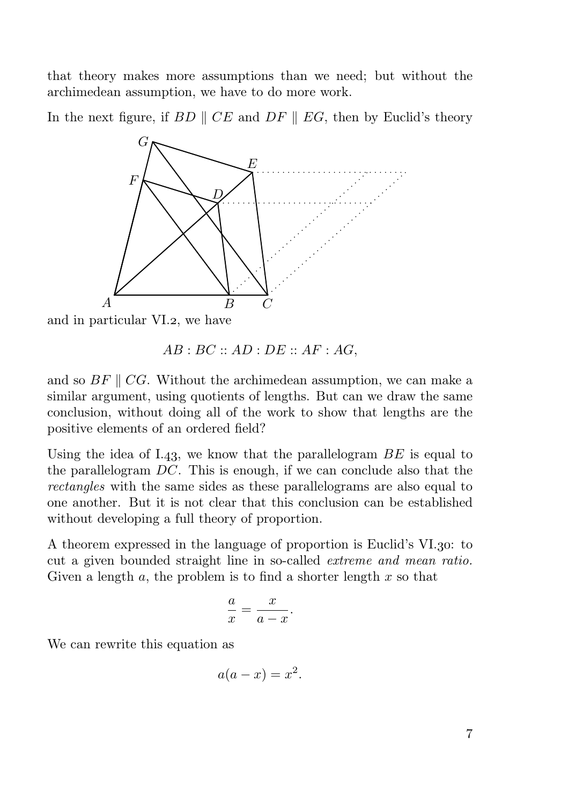that theory makes more assumptions than we need; but without the archimedean assumption, we have to do more work.

In the next figure, if  $BD \parallel CE$  and  $DF \parallel EG$ , then by Euclid's theory



and in particular VI.2, we have

and so  $BF \parallel CG$ . Without the archimedean assumption, we can make a similar argument, using quotients of lengths. But can we draw the same conclusion, without doing all of the work to show that lengths are the positive elements of an ordered field?

Using the idea of I.43, we know that the parallelogram  $BE$  is equal to the parallelogram  $DC$ . This is enough, if we can conclude also that the *rectangles* with the same sides as these parallelograms are also equal to one another. But it is not clear that this conclusion can be established without developing a full theory of proportion.

A theorem expressed in the language of proportion is Euclid's VI.30: to cut a given bounded straight line in so-called *extreme and mean ratio.* Given a length  $a$ , the problem is to find a shorter length  $x$  so that

$$
\frac{a}{x} = \frac{x}{a - x}.
$$

We can rewrite this equation as

$$
a(a-x) = x^2.
$$

 $AB: BC::AD: DE::AF: AG,$